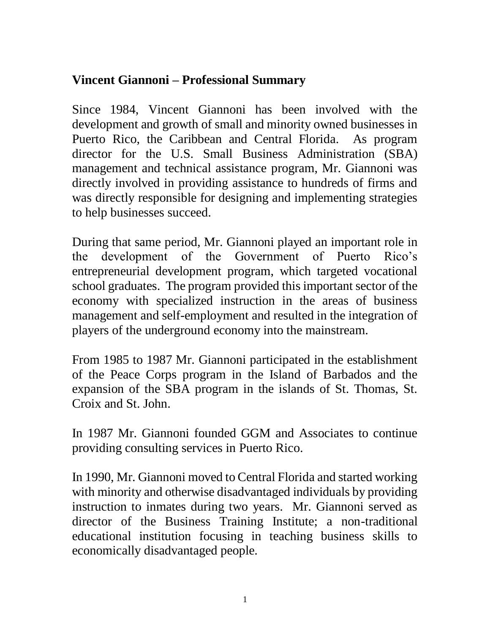## **Vincent Giannoni – Professional Summary**

Since 1984, Vincent Giannoni has been involved with the development and growth of small and minority owned businesses in Puerto Rico, the Caribbean and Central Florida. As program director for the U.S. Small Business Administration (SBA) management and technical assistance program, Mr. Giannoni was directly involved in providing assistance to hundreds of firms and was directly responsible for designing and implementing strategies to help businesses succeed.

During that same period, Mr. Giannoni played an important role in the development of the Government of Puerto Rico's entrepreneurial development program, which targeted vocational school graduates. The program provided this important sector of the economy with specialized instruction in the areas of business management and self-employment and resulted in the integration of players of the underground economy into the mainstream.

From 1985 to 1987 Mr. Giannoni participated in the establishment of the Peace Corps program in the Island of Barbados and the expansion of the SBA program in the islands of St. Thomas, St. Croix and St. John.

In 1987 Mr. Giannoni founded GGM and Associates to continue providing consulting services in Puerto Rico.

In 1990, Mr. Giannoni moved to Central Florida and started working with minority and otherwise disadvantaged individuals by providing instruction to inmates during two years. Mr. Giannoni served as director of the Business Training Institute; a non-traditional educational institution focusing in teaching business skills to economically disadvantaged people.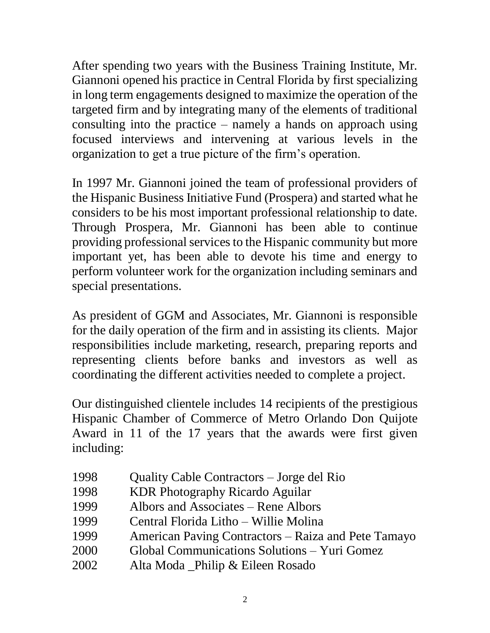After spending two years with the Business Training Institute, Mr. Giannoni opened his practice in Central Florida by first specializing in long term engagements designed to maximize the operation of the targeted firm and by integrating many of the elements of traditional consulting into the practice – namely a hands on approach using focused interviews and intervening at various levels in the organization to get a true picture of the firm's operation.

In 1997 Mr. Giannoni joined the team of professional providers of the Hispanic Business Initiative Fund (Prospera) and started what he considers to be his most important professional relationship to date. Through Prospera, Mr. Giannoni has been able to continue providing professional services to the Hispanic community but more important yet, has been able to devote his time and energy to perform volunteer work for the organization including seminars and special presentations.

As president of GGM and Associates, Mr. Giannoni is responsible for the daily operation of the firm and in assisting its clients. Major responsibilities include marketing, research, preparing reports and representing clients before banks and investors as well as coordinating the different activities needed to complete a project.

Our distinguished clientele includes 14 recipients of the prestigious Hispanic Chamber of Commerce of Metro Orlando Don Quijote Award in 11 of the 17 years that the awards were first given including:

- 1998 Quality Cable Contractors Jorge del Rio
- 1998 KDR Photography Ricardo Aguilar
- 1999 Albors and Associates Rene Albors
- 1999 Central Florida Litho Willie Molina
- 1999 American Paving Contractors Raiza and Pete Tamayo
- 2000 Global Communications Solutions Yuri Gomez
- 2002 Alta Moda \_Philip & Eileen Rosado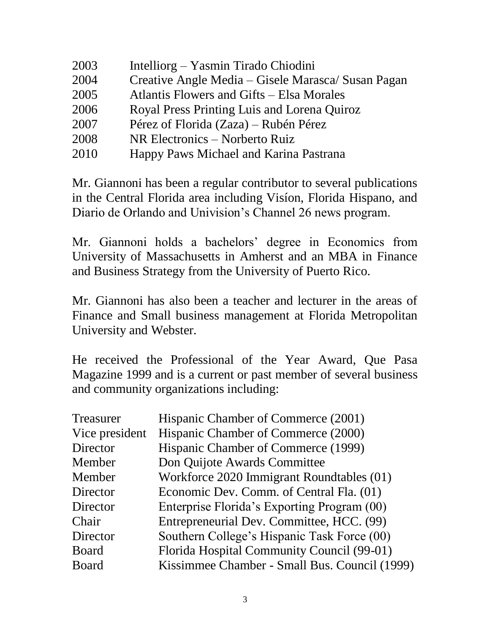| 2003 | Intelliorg – Yasmin Tirado Chiodini                |
|------|----------------------------------------------------|
| 2004 | Creative Angle Media – Gisele Marasca/ Susan Pagan |
| 2005 | Atlantis Flowers and Gifts – Elsa Morales          |
| 2006 | Royal Press Printing Luis and Lorena Quiroz        |
| 2007 | Pérez of Florida (Zaza) – Rubén Pérez              |
| 2008 | NR Electronics – Norberto Ruiz                     |
| 2010 | Happy Paws Michael and Karina Pastrana             |

Mr. Giannoni has been a regular contributor to several publications in the Central Florida area including Visíon, Florida Hispano, and Diario de Orlando and Univision's Channel 26 news program.

Mr. Giannoni holds a bachelors' degree in Economics from University of Massachusetts in Amherst and an MBA in Finance and Business Strategy from the University of Puerto Rico.

Mr. Giannoni has also been a teacher and lecturer in the areas of Finance and Small business management at Florida Metropolitan University and Webster.

He received the Professional of the Year Award, Que Pasa Magazine 1999 and is a current or past member of several business and community organizations including:

| <b>Treasurer</b> | Hispanic Chamber of Commerce (2001)           |
|------------------|-----------------------------------------------|
| Vice president   | Hispanic Chamber of Commerce (2000)           |
| Director         | Hispanic Chamber of Commerce (1999)           |
| Member           | Don Quijote Awards Committee                  |
| Member           | Workforce 2020 Immigrant Roundtables (01)     |
| Director         | Economic Dev. Comm. of Central Fla. (01)      |
| Director         | Enterprise Florida's Exporting Program (00)   |
| Chair            | Entrepreneurial Dev. Committee, HCC. (99)     |
| Director         | Southern College's Hispanic Task Force (00)   |
| <b>Board</b>     | Florida Hospital Community Council (99-01)    |
| <b>Board</b>     | Kissimmee Chamber - Small Bus. Council (1999) |